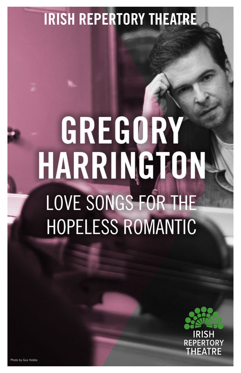### **IRISH REPERTORY THEATRE**

## GREGORY HARRINGTON **LOVE SONGS FOR THE HOPELESS ROMANTIC**

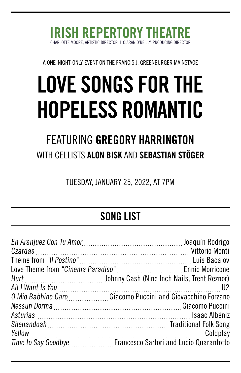#### ORE, ARTISTIC DIRECTOR | CIARÁN O'REILLY, PRODUCING DIRECTOR IRISH REPERTORY TH

A ONE-NIGHT-ONLY EVENT ON THE FRANCIS J. GREENBURGER MAINSTAGE

## LOVE SONGS FOR THE HOPELESS ROMANTIC

### WITH CELLISTS ALON BISK AND SEBASTIAN STÖGER FEATURING GREGORY HARRINGTON

TUESDAY, JANUARY 25, 2022, AT 7PM

### SONG LIST

| O Mio Babbino Caro Giacomo Puccini and Giovacchino Forzano  |
|-------------------------------------------------------------|
|                                                             |
|                                                             |
|                                                             |
|                                                             |
| Time to Say Goodbye Francesco Sartori and Lucio Quarantotto |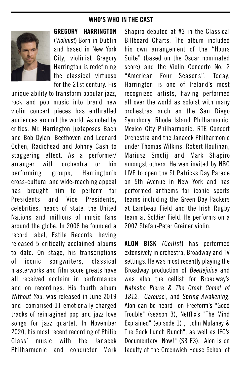#### WHO'S WHO IN THE CAST



GREGORY HARRINGTON (Violinist) Born in Dublin and based in New York City, violinist Gregory Harrington is redefining the classical virtuoso for the 21st century. His

unique ability to transform popular jazz, rock and pop music into brand new violin concert pieces has enthralled audiences around the world. As noted by critics, Mr. Harrington juxtaposes Bach and Bob Dylan, Beethoven and Leonard Cohen, Radiohead and Johnny Cash to staggering effect. As a performer/ arranger with orchestra or his performing groups, Harrington's cross-cultural and wide-reaching appeal has brought him to perform for Presidents and Vice Presidents, celebrities, heads of state, the United Nations and millions of music fans around the globe. In 2006 he founded a record label, Estile Records, having released 5 critically acclaimed albums to date. On stage, his transcriptions of iconic songwriters, classical masterworks and film score greats have all received acclaim in performance and on recordings. His fourth album Without You, was released in June 2019 and comprised 11 emotionally charged tracks of reimagined pop and jazz love songs for jazz quartet. In November 2020, his most recent recording of Philip Glass' music with the Janacek Philharmonic and conductor Mark Shapiro debuted at #3 in the Classical Billboard Charts. The album included his own arrangement of the "Hours Suite" (based on the Oscar nominated score) and the Violin Concerto No. 2 "American Four Seasons". Today, Harrington is one of Ireland's most recognized artists, having performed all over the world as soloist with many orchestras such as the San Diego Symphony, Rhode Island Philharmonic, Mexico City Philharmonic, RTE Concert Orchestra and the Janacek Philharmonic under Thomas Wilkins, Robert Houlihan, Mariusz Smolij and Mark Shapiro amongst others. He was invited by NBC LIVE to open the St Patricks Day Parade on 5th Avenue in New York and has performed anthems for iconic sports teams including the Green Bay Packers at Lambeau Field and the Irish Rugby team at Soldier Field. He performs on a 2007 Stefan-Peter Greiner violin.

ALON BISK (Cellist) has performed extensively in orchestra, Broadway and TV settings. He was most recently playing the Broadway production of Beetlejuice and was also the cellist for Broadway's Natasha Pierre & The Great Comet of 1812, Carousel, and Spring Awakening. Alon can be heard on Freeform's "Good Trouble" (season 3), Netflix's "The Mind Explained" (episode 1) , "John Mulaney & The Sack Lunch Bunch", as well as IFC's Documentary "Now!" (S3 E3). Alon is on faculty at the Greenwich House School of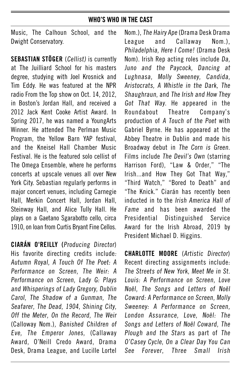#### WHO'S WHO IN THE CAST

Music, The Calhoun School, and the Dwight Conservatory.

SEBASTIAN STÖGER (Cellist) is currently at The Juilliard School for his masters degree, studying with Joel Krosnick and Tim Eddy. He was featured at the NPR radio From the Top show on Oct. 14, 2012, in Boston's Jordan Hall, and received a 2012 Jack Kent Cooke Artist Award. In Spring 2017, he was named a YoungArts Winner. He attended The Perlman Music Program, the Yellow Barn YAP festival, and the Kneisel Hall Chamber Music Festival. He is the featured solo cellist of The Omega Ensemble, where he performs concerts at upscale venues all over New York City. Sebastian regularly performs in major concert venues, including Carnegie Hall, Merkin Concert Hall, Jordan Hall, Steinway Hall, and Alice Tully Hall. He plays on a Gaetano Sgarabotto cello, circa 1910, on loan from Curtis Bryant Fine Cellos.

CIARÁN O'REILLY **(**Producing Director) His favorite directing credits include: Autumn Royal, A Touch Of The Poet: A Performance on Screen, The Weir: A Performance on Screen, Lady G: Plays and Whisperings of Lady Gregory, Dublin Carol, The Shadow of a Gunman, The Seafarer, The Dead, 1904, Shining City, Off the Meter, On the Record, The Weir (Calloway Nom.), Banished Children of Eve, The Emperor Jones, (Callaway Award, O'Neill Credo Award, Drama Desk, Drama League, and Lucille Lortel

Nom.), The Hairy Ape (Drama Desk Drama League and Callaway Nom.), Philadelphia, Here I Come! (Drama Desk Nom). Irish Rep acting roles include Da, Juno and the Paycock, Dancing at Lughnasa, Molly Sweeney, Candida, Aristocrats, A Whistle in the Dark, The Shaughraun, and The Irish and How They Got That Way. He appeared in the Roundabout Theatre Company's production of A Touch of the Poet with Gabriel Byrne. He has appeared at the Abbey Theatre in Dublin and made his Broadway debut in The Corn is Green. Films include The Devil's Own (starring Harrison Ford), "Law & Order," "The Irish...and How They Got That Way," "Third Watch," "Bored to Death" and "The Knick." Ciarán has recently been inducted in to the Irish America Hall of Fame and has been awarded the Presidential Distinguished Service Award for the Irish Abroad, 2019 by President Michael D. Higgins.

CHARLOTTE MOORE (Artistic Director) Recent directing assignments include: The Streets of New York, Meet Me in St. Louis: A Performance on Screen, Love Noël, The Songs and Letters of Noël Coward: A Performance on Screen, Molly Sweeney: A Performance on Screen, London Assurance, Love, Noël: The Songs and Letters of Noël Coward, The Plough and the Stars as part of The O'Casey Cycle, On a Clear Day You Can See Forever, Three Small Irish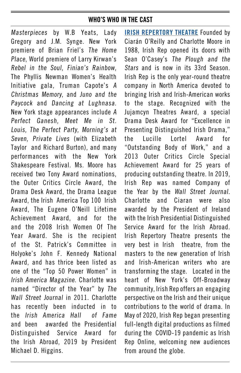#### WHO'S WHO IN THE CAST

Masterpieces by W.B Yeats, Lady Gregory and J.M. Synge. New York premiere of Brian Friel's The Home Place, World premiere of Larry Kirwan's Rebel in the Soul, Finian's Rainbow, The Phyllis Newman Women's Health Initiative gala, Truman Capote's A Christmas Memory, and Juno and the Paycock and Dancing at Lughnasa. New York stage appearances include A Perfect Ganesh, Meet Me in St. Louis, The Perfect Party, Morning's at Seven, Private Lives (with Elizabeth Taylor and Richard Burton), and many performances with the New York Shakespeare Festival. Ms. Moore has received two Tony Award nominations, the Outer Critics Circle Award, the Drama Desk Award, the Drama League Award, the Irish America Top 100 Irish Award, The Eugene O'Neill Lifetime Achievement Award, and for the and the 2008 Irish Women Of The Year Award. She is the recipient of the St. Patrick's Committee in Holyoke's John F. Kennedy National Award, and has thrice been listed as one of the "Top 50 Power Women" in Irish America Magazine. Charlotte was named "Director of the Year" by The Wall Street Journal in 2011. Charlotte has recently been inducted in to the Irish America Hall of Fame and been awarded the Presidential Distinguished Service Award for the Irish Abroad, 2019 by President Michael D. Higgins.

[IRISH REPERTORY THEATRE](https://irishrep.org/) Founded by Ciarán O'Reilly and Charlotte Moore in 1988, Irish Rep opened its doors with Sean O'Casey's The Plough and the Stars and is now in its 33rd Season. Irish Rep is the only year-round theatre company in North America devoted to bringing Irish and Irish-American works to the stage. Recognized with the Jujamcyn Theatres Award, a special Drama Desk Award for "Excellence in Presenting Distinguished Irish Drama," the Lucille Lortel Award for "Outstanding Body of Work," and a 2013 Outer Critics Circle Special Achievement Award for 25 years of producing outstanding theatre. In 2019, Irish Rep was named Company of the Year by the Wall Street Journal. Charlotte and Ciaran were also awarded by the President of Ireland with the Irish Presidential Distinguished Service Award for the Irish Abroad. Irish Repertory Theatre presents the very best in Irish theatre, from the masters to the new generation of Irish and Irish-American writers who are transforming the stage. Located in the heart of New York's Off-Broadway community, Irish Rep offers an engaging perspective on the Irish and their unique contributions to the world of drama. In May of 2020, Irish Rep began presenting full-length digital productions as filmed during the COVID-19 pandemic as Irish Rep Online, welcoming new audiences from around the globe.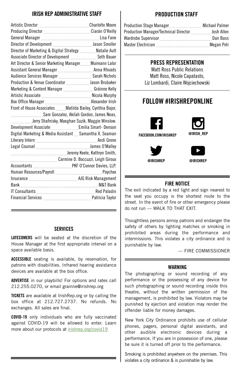#### IRISH REP ADMINISTRATIVE STAFF

| Director of Marketing & Digital Strategy  Natalie Ault          |  |
|-----------------------------------------------------------------|--|
| Associate Director of Development  Seth Bauer                   |  |
| Art Director & Senior Marketing Manager Muireann Lalor          |  |
|                                                                 |  |
|                                                                 |  |
|                                                                 |  |
| Marketing & Content Manager  Gráinne Kelly                      |  |
|                                                                 |  |
|                                                                 |  |
| Front of House Associates  Matilda Bailey, Cynthia Bajor,       |  |
|                                                                 |  |
| Sam Gonzalez, Akilah Gordon, James Neas,                        |  |
| Luttiming Jerry Shafnisky, Maeghan Suzik, Maggie Winslow.       |  |
|                                                                 |  |
| Digital Marketing & Media Assistant  Samantha X. Seaman         |  |
|                                                                 |  |
| Legal Counsel Manual Manual Manual Manual Manual James O'Malley |  |
|                                                                 |  |
|                                                                 |  |
|                                                                 |  |
|                                                                 |  |
|                                                                 |  |
|                                                                 |  |
|                                                                 |  |

#### **SERVICES**

LATECOMERS will be seated at the discretion of the House Manager at the first appropriate interval on a space available basis.

**ACCESSIBLE** seating is available, by reservation, for patrons with disabilities. Infrared hearing assistance devices are available at the box office.

**ADVERTISE** in our playbills! For options and rates call 212.255.0270, or email grainne@irishrep.org

**TICKETS** are available at IrishRep.org or by calling the box office at 212.727.2737. No refunds. No exchanges. All sales are final.

COVID-19 only individuals who are fully vaccinated against COVID-19 will be allowed to enter. Learn more about our protocols at [irishrep.org/covid19](http://irishrep.org/covid19)

#### PRODUCTION STAFF

| <b>Production Manager/Technical Director Froduction Manager/Technical Director From Allen</b> |            |
|-----------------------------------------------------------------------------------------------|------------|
|                                                                                               | Dan Bass   |
|                                                                                               | Megan Peti |

#### PRESS REPRESENTATION

Matt Ross Public Relations Matt Ross, Nicole Capatasto, Liz Lombardi, Claire Wojciechowski

#### FOLLOW #IRISHREPONLINE



#### FIRE NOTICE

The exit indicated by a red light and sign nearest to the seat you occupy is the shortest route to the street. In the event of fire or other emergency please do not run — WALK TO THAT EXIT.

Thoughtless persons annoy patrons and endanger the safety of others by lighting matches or smoking in prohibited areas during the performance and intermissions. This violates a city ordinance and is punishable by law.

— FIRE COMMISSIONER

#### WARNING

The photographing or sound recording of any performance or the possessing of any device for such photographing or sound recording inside this theatre, without the written permission of the management, is prohibited by law. Violators may be punished by ejection and violation may render the offender liable for money damages.

New York City Ordinance prohibits use of cellular phones, pagers, personal digital assistants, and other audible electronic devices during a performance. If you are in possession of one, please be sure it is turned off prior to the performance.

Smoking is prohibited anywhere on the premises. This violates a city ordinance & is punishable by law.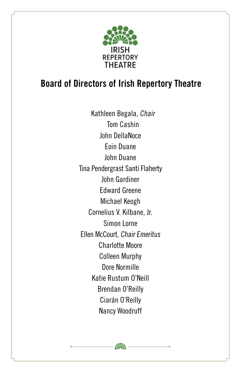

#### **Board of Directors of Irish Repertory Theatre**

Kathleen Begala, Chair Tom Cashin John DellaNoce Eoin Duane John Duane Tina Pendergrast Santi Flaherty John Gardiner Edward Greene Michael Keogh Cornelius V. Kilbane, Jr. Simon Lorne Ellen McCourt, Chair Emeritus Charlotte Moore Colleen Murphy Dore Normille Katie Rustum O'Neill Brendan O'Reilly Ciarán O'Reilly Nancy Woodruff